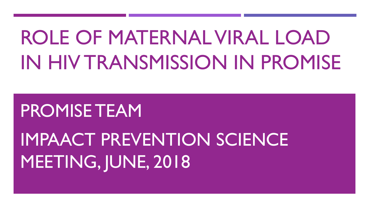# ROLE OF MATERNAL VIRAL LOAD IN HIV TRANSMISSION IN PROMISE

## PROMISE TEAM

## IMPAACT PREVENTION SCIENCE MEETING, JUNE, 2018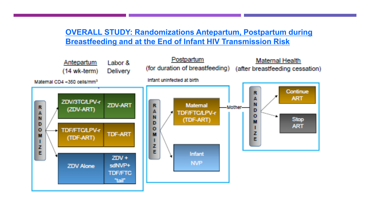#### **OVERALL STUDY: Randomizations Antepartum, Postpartum during Breastfeeding and at the End of Infant HIV Transmission Risk**

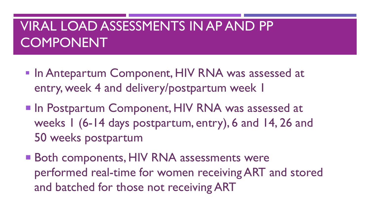## VIRAL LOAD ASSESSMENTS IN AP AND PP COMPONENT

- **In Antepartum Component, HIV RNA was assessed at** entry, week 4 and delivery/postpartum week 1
- **In Postpartum Component, HIV RNA was assessed at** weeks 1 (6-14 days postpartum, entry), 6 and 14, 26 and 50 weeks postpartum
- Both components, HIV RNA assessments were performed real-time for women receiving ART and stored and batched for those not receiving ART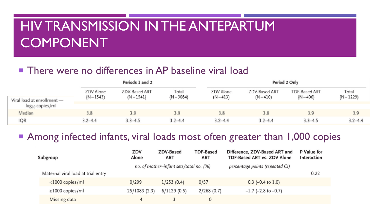## HIV TRANSMISSION IN THE ANTEPARTUM COMPONENT

#### **There were no differences in AP baseline viral load**

|                                                     |                         | Periods 1 and 2               |                       |                          | Period 2 Only                |                              |                       |  |
|-----------------------------------------------------|-------------------------|-------------------------------|-----------------------|--------------------------|------------------------------|------------------------------|-----------------------|--|
|                                                     | ZDV Alone<br>$(N-1543)$ | ZDV-Based ART<br>$(N = 1541)$ | Total<br>$(N = 3084)$ | ZDV Alone<br>$(N = 413)$ | ZDV-Based ART<br>$(N = 410)$ | TDF-Based ART<br>$(N = 406)$ | Total<br>$(N = 1229)$ |  |
| Viral load at enrollment -<br>$\log_{10}$ copies/ml |                         |                               |                       |                          |                              |                              |                       |  |
| Median.                                             | 3.8                     | 3.9                           | 3.9                   | 3.8                      | 3.8                          | 3.9                          | 3.9                   |  |
| IQR                                                 | $3.2 - 4.4$             | $3.3 - 4.5$                   | $3,2 - 4,4$           | $3,2 - 4,4$              | $3.2 - 4.4$                  | $3.3 - 4.5$                  | $3.2 - 4.4$           |  |

#### ■ Among infected infants, viral loads most often greater than 1,000 copies

|  | Subgroup                           | ZDV<br>Alone | ZDV-Based<br><b>ART</b>                 | <b>TDF-Based</b><br>ART | Difference, ZDV-Based ART and<br>TDF-Based ART vs. ZDV Alone | P Value for<br>Interaction |
|--|------------------------------------|--------------|-----------------------------------------|-------------------------|--------------------------------------------------------------|----------------------------|
|  |                                    |              | no. of mother-infant sets/total no. (%) |                         | percentage points (repeated CI)                              |                            |
|  | Maternal viral load at trial entry |              |                                         |                         |                                                              | 0.22                       |
|  | <1000 copies/ml                    | 0/299        | 1/253(0.4)                              | 0/57                    | $0.3$ (-0.4 to 1.0)                                          |                            |
|  | $\geq$ 1000 copies/ml              | 25/1083(2.3) | 6/1129(0.5)                             | 2/268(0.7)              | $-1.7$ (-2.8 to $-0.7$ )                                     |                            |
|  | Missing data                       | 4            |                                         | 0                       |                                                              |                            |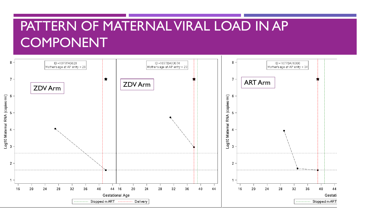## PATTERN OF MATERNAL VIRAL LOAD IN AP **COMPONENT**

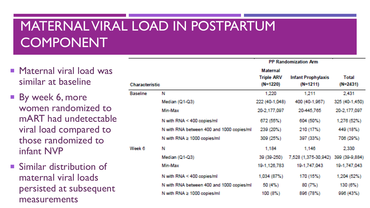## MATERNAL VIRAL LOAD IN POSTPARTUM COMPONENT

- **Maternal viral load was** similar at baseline
- By week 6, more women randomized to mART had undetectable viral load compared to those randomized to infant NVP
- **Similar distribution of** maternal viral loads persisted at subsequent measurements

| <b>Characteristic</b> |                                           | <b>Maternal</b><br><b>Triple ARV</b><br>$(N=1220)$ | <b>Infant Prophylaxis</b><br>$(N=1211)$ | <b>Total</b><br>$(N=2431)$ |
|-----------------------|-------------------------------------------|----------------------------------------------------|-----------------------------------------|----------------------------|
| <b>Baseline</b>       | N                                         | 1,220                                              | 1,211                                   | 2,431                      |
|                       | Median (Q1-Q3)                            | 222 (40-1,048)                                     | 400 (40-1,967)                          | 325 (40-1,450)             |
|                       | Min-Max                                   | 20-2,177,097                                       | 20-445,765                              | 20-2,177,097               |
|                       | N with RNA < 400 copies/ml                | 672 (55%)                                          | 604 (50%)                               | 1,276 (52%)                |
|                       | N with RNA between 400 and 1000 copies/ml | 239 (20%)                                          | 210 (17%)                               | 449 (18%)                  |
|                       | N with RNA $\geq 1000$ copies/ml          | 309 (25%)                                          | 397 (33%)                               | 706 (29%)                  |
| Week 6                | N                                         | 1,184                                              | 1,146                                   | 2,330                      |
|                       | Median (Q1-Q3)                            | 39 (39-250)                                        | 7,528 (1,375-30,942)                    | 399 (39-9,884)             |
|                       | Min-Max                                   | 19-1, 126, 783                                     | 19-1,747,043                            | 19-1,747,043               |
|                       | N with RNA < 400 copies/ml                | 1,034 (87%)                                        | 170 (15%)                               | 1,204 (52%)                |
|                       | N with RNA between 400 and 1000 copies/ml | 50(4%)                                             | 80(7%)                                  | 130 (6%)                   |
|                       | N with RNA $\geq 1000$ copies/ml          | 100 (8%)                                           | 896 (78%)                               | 996(43%)                   |

**PP Randomization Arm**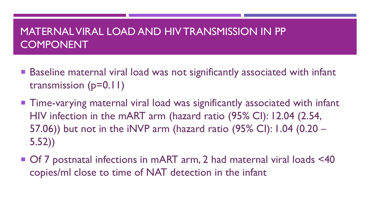#### MATERNAL VIRAL LOAD AND HIV TRANSMISSION IN PP COMPONENT

- Baseline maternal viral load was not significantly associated with infant transmission (p=0.11)
- Time-varying maternal viral load was significantly associated with infant HIV infection in the mART arm (hazard ratio (95% CI): 12.04 (2.54, 57.06)) but not in the iNVP arm (hazard ratio (95% CI): 1.04 (0.20 – 5.52))
- Of 7 postnatal infections in mART arm, 2 had maternal viral loads <40 copies/ml close to time of NAT detection in the infant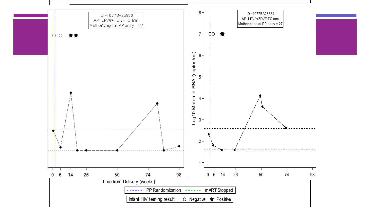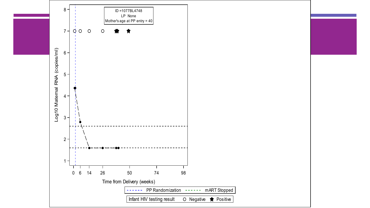